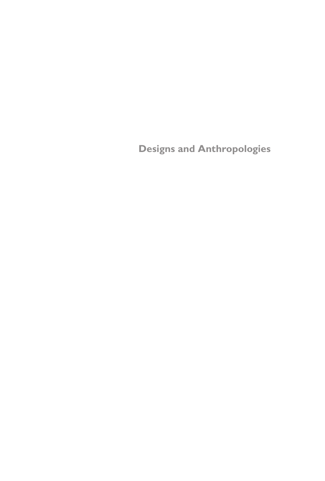**Designs and Anthropologies**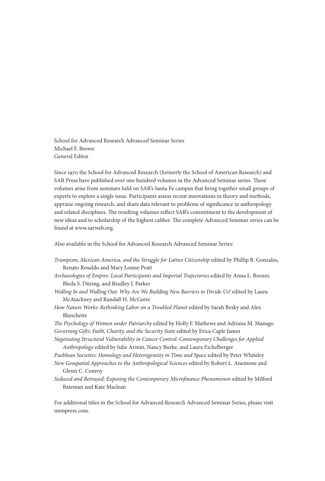School for Advanced Research Advanced Seminar Series Michael F. Brown General Editor

Since 1970 the School for Advanced Research (formerly the School of American Research) and SAR Press have published over one hundred volumes in the Advanced Seminar series. These volumes arise from seminars held on SAR's Santa Fe campus that bring together small groups of experts to explore a single issue. Participants assess recent innovations in theory and methods, appraise ongoing research, and share data relevant to problems of significance in anthropology and related disciplines. The resulting volumes reflect SAR's commitment to the development of new ideas and to scholarship of the highest caliber. The complete Advanced Seminar series can be found at www.sarweb.org.

Also available in the School for Advanced Research Advanced Seminar Series:

- *Trumpism, Mexican America, and the Struggle for Latinx Citizenship* edited by Phillip B. Gonzales, Renato Rosaldo and Mary Louise Pratt
- *Archaeologies of Empire: Local Participants and Imperial Trajectories* edited by Anna L. Boozer, Bleda S. Düring, and Bradley J. Parker
- *Walling In and Walling Out: Why Are We Building New Barriers to Divide Us?* edited by Laura McAtackney and Randall H. McGuire
- How Nature Works: Rethinking Labor on a Troubled Planet edited by Sarah Besky and Alex Blanchette
- *The Psychology of Women under Patriarchy* edited by Holly F. Mathews and Adriana M. Manago *Governing Gifts: Faith, Charity, and the Security State* edited by Erica Caple James
- *Negotiating Structural Vulnerability in Cancer Control: Contemporary Challenges for Applied Anthropology* edited by Julie Armin, Nancy Burke, and Laura Eichelberger
- *Puebloan Societies: Homology and Heterogeneity in Time and Space* edited by Peter Whiteley
- *New Geospatial Approaches to the Anthropological Sciences* edited by Robert L. Anemone and Glenn C. Conroy
- *Seduced and Betrayed: Exposing the Contemporary Microfinance Phenomenon* edited by Milford Bateman and Kate Maclean

For additional titles in the School for Advanced Research Advanced Seminar Series, please visit unmpress.com.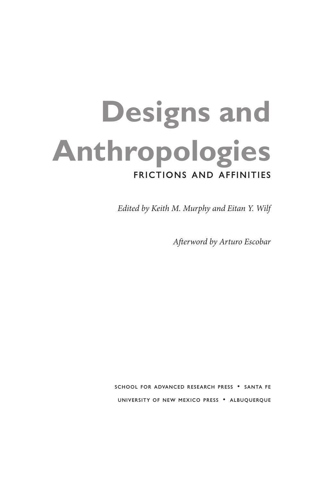# **Designs and Anthropologies** Frictions and Affinities

*Edited by Keith M. Murphy and Eitan Y. Wilf*

*Afterword by Arturo Escobar*

School for Advanced Research Press • Santa Fe University of New Mexico Press • Albuquerque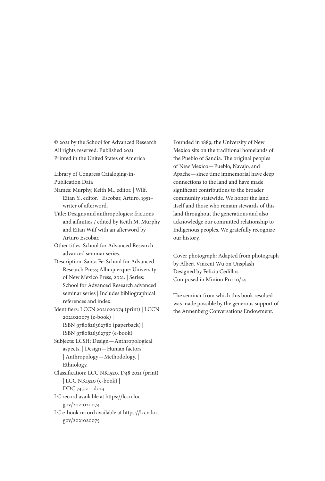© 2021 by the School for Advanced Research All rights reserved. Published 2021 Printed in the United States of America

Library of Congress Cataloging-in-Publication Data

Names: Murphy, Keith M., editor. | Wilf, Eitan Y., editor. | Escobar, Arturo, 1951– writer of afterword.

Title: Designs and anthropologies: frictions and affinities / edited by Keith M. Murphy and Eitan Wilf with an afterword by Arturo Escobar.

Other titles: School for Advanced Research advanced seminar series.

Description: Santa Fe: School for Advanced Research Press; Albuquerque: University of New Mexico Press, 2021. | Series: School for Advanced Research advanced seminar series | Includes bibliographical references and index.

Identifiers: LCCN 2021020074 (print) | LCCN 2021020075 (e-book) | ISBN 9780826362780 (paperback) | ISBN 9780826362797 (e-book)

Subjects: LCSH: Design—Anthropological aspects. | Design—Human factors. | Anthropology—Methodology. | Ethnology.

Classification: LCC NK1520. D48 2021 (print) | LCC NK1520 (e-book) | DDC 745.2—dc23

LC record available at https://lccn.loc. gov/2021020074

LC e-book record available at https://lccn.loc. gov/2021020075

Founded in 1889, the University of New Mexico sits on the traditional homelands of the Pueblo of Sandia. The original peoples of New Mexico—Pueblo, Navajo, and Apache—since time immemorial have deep connections to the land and have made significant contributions to the broader community statewide. We honor the land itself and those who remain stewards of this land throughout the generations and also acknowledge our committed relationship to Indigenous peoples. We gratefully recognize our history.

Cover photograph: Adapted from photograph by Albert Vincent Wu on Unsplash Designed by Felicia Cedillos Composed in Minion Pro 10/14

The seminar from which this book resulted was made possible by the generous support of the Annenberg Conversations Endowment.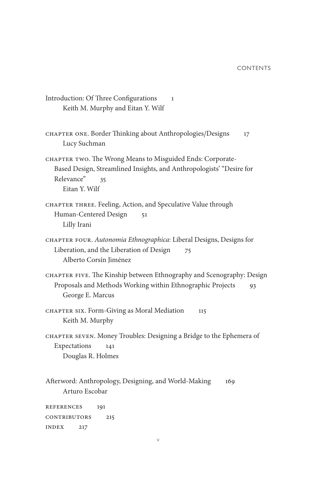- Introduction: Of Three Configurations 1 Keith M. Murphy and Eitan Y. Wilf CHAPTER ONE. Border Thinking about Anthropologies/Designs 17 Lucy Suchman CHAPTER TWO. The Wrong Means to Misguided Ends: Corporate-Based Design, Streamlined Insights, and Anthropologists' "Desire for Relevance" 35 Eitan Y. Wilf CHAPTER THREE. Feeling, Action, and Speculative Value through Human-Centered Design 51 Lilly Irani Chapter Four. *Autonomia Ethnographica*: Liberal Designs, Designs for Liberation, and the Liberation of Design 75 Alberto Corsín Jiménez Chapter Five. The Kinship between Ethnography and Scenography: Design Proposals and Methods Working within Ethnographic Projects 93 George E. Marcus CHAPTER SIX. Form-Giving as Moral Mediation 115 Keith M. Murphy CHAPTER SEVEN. Money Troubles: Designing a Bridge to the Ephemera of Expectations 141 Douglas R. Holmes Afterword: Anthropology, Designing, and World-Making 169 Arturo Escobar References 191 CONTRIBUTORS 215
- Index 217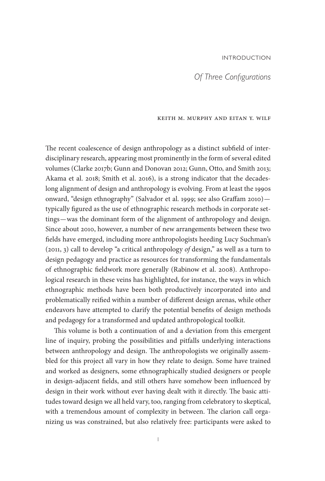## Introduction

## *Of Three Configurations*

#### Keith M. Murphy and Eitan Y. Wilf

The recent coalescence of design anthropology as a distinct subfield of interdisciplinary research, appearing most prominently in the form of several edited volumes (Clarke 2017b; Gunn and Donovan 2012; Gunn, Otto, and Smith 2013; Akama et al. 2018; Smith et al. 2016), is a strong indicator that the decadeslong alignment of design and anthropology is evolving. From at least the 1990s onward, "design ethnography" (Salvador et al. 1999; see also Graffam 2010) typically figured as the use of ethnographic research methods in corporate settings—was the dominant form of the alignment of anthropology and design. Since about 2010, however, a number of new arrangements between these two fields have emerged, including more anthropologists heeding Lucy Suchman's (2011, 3) call to develop "a critical anthropology *of* design," as well as a turn to design pedagogy and practice as resources for transforming the fundamentals of ethnographic fieldwork more generally (Rabinow et al. 2008). Anthropological research in these veins has highlighted, for instance, the ways in which ethnographic methods have been both productively incorporated into and problematically reified within a number of different design arenas, while other endeavors have attempted to clarify the potential benefits of design methods and pedagogy for a transformed and updated anthropological toolkit.

This volume is both a continuation of and a deviation from this emergent line of inquiry, probing the possibilities and pitfalls underlying interactions between anthropology and design. The anthropologists we originally assembled for this project all vary in how they relate to design. Some have trained and worked as designers, some ethnographically studied designers or people in design-adjacent fields, and still others have somehow been influenced by design in their work without ever having dealt with it directly. The basic attitudes toward design we all held vary, too, ranging from celebratory to skeptical, with a tremendous amount of complexity in between. The clarion call organizing us was constrained, but also relatively free: participants were asked to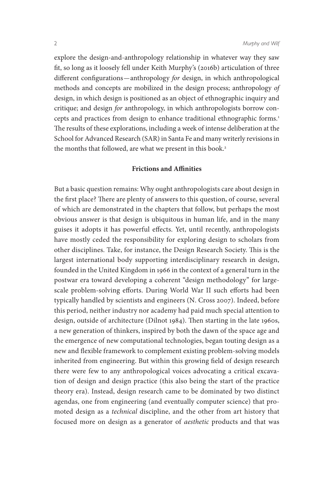explore the design-and-anthropology relationship in whatever way they saw fit, so long as it loosely fell under Keith Murphy's (2016b) articulation of three different configurations—anthropology *for* design, in which anthropological methods and concepts are mobilized in the design process; anthropology *of* design, in which design is positioned as an object of ethnographic inquiry and critique; and design *for* anthropology, in which anthropologists borrow concepts and practices from design to enhance traditional ethnographic forms.<sup>1</sup> The results of these explorations, including a week of intense deliberation at the School for Advanced Research (SAR) in Santa Fe and many writerly revisions in the months that followed, are what we present in this book.<sup>2</sup>

## **Frictions and Affinities**

But a basic question remains: Why ought anthropologists care about design in the first place? There are plenty of answers to this question, of course, several of which are demonstrated in the chapters that follow, but perhaps the most obvious answer is that design is ubiquitous in human life, and in the many guises it adopts it has powerful effects. Yet, until recently, anthropologists have mostly ceded the responsibility for exploring design to scholars from other disciplines. Take, for instance, the Design Research Society. This is the largest international body supporting interdisciplinary research in design, founded in the United Kingdom in 1966 in the context of a general turn in the postwar era toward developing a coherent "design methodology" for largescale problem-solving efforts. During World War II such efforts had been typically handled by scientists and engineers (N. Cross 2007). Indeed, before this period, neither industry nor academy had paid much special attention to design, outside of architecture (Dilnot 1984). Then starting in the late 1960s, a new generation of thinkers, inspired by both the dawn of the space age and the emergence of new computational technologies, began touting design as a new and flexible framework to complement existing problem-solving models inherited from engineering. But within this growing field of design research there were few to any anthropological voices advocating a critical excavation of design and design practice (this also being the start of the practice theory era). Instead, design research came to be dominated by two distinct agendas, one from engineering (and eventually computer science) that promoted design as a *technical* discipline, and the other from art history that focused more on design as a generator of *aesthetic* products and that was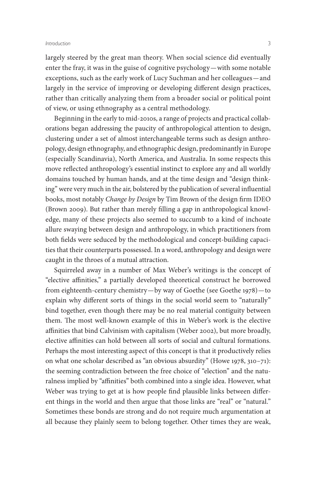#### *Introduction* 3

largely steered by the great man theory. When social science did eventually enter the fray, it was in the guise of cognitive psychology—with some notable exceptions, such as the early work of Lucy Suchman and her colleagues—and largely in the service of improving or developing different design practices, rather than critically analyzing them from a broader social or political point of view, or using ethnography as a central methodology.

Beginning in the early to mid-2010s, a range of projects and practical collaborations began addressing the paucity of anthropological attention to design, clustering under a set of almost interchangeable terms such as design anthropology, design ethnography, and ethnographic design, predominantly in Europe (especially Scandinavia), North America, and Australia. In some respects this move reflected anthropology's essential instinct to explore any and all worldly domains touched by human hands, and at the time design and "design thinking" were very much in the air, bolstered by the publication of several influential books, most notably *Change by Design* by Tim Brown of the design firm IDEO (Brown 2009). But rather than merely filling a gap in anthropological knowledge, many of these projects also seemed to succumb to a kind of inchoate allure swaying between design and anthropology, in which practitioners from both fields were seduced by the methodological and concept-building capacities that their counterparts possessed. In a word, anthropology and design were caught in the throes of a mutual attraction.

Squirreled away in a number of Max Weber's writings is the concept of "elective affinities," a partially developed theoretical construct he borrowed from eighteenth-century chemistry—by way of Goethe (see Goethe 1978)—to explain why different sorts of things in the social world seem to "naturally" bind together, even though there may be no real material contiguity between them. The most well-known example of this in Weber's work is the elective affinities that bind Calvinism with capitalism (Weber 2002), but more broadly, elective affinities can hold between all sorts of social and cultural formations. Perhaps the most interesting aspect of this concept is that it productively relies on what one scholar described as "an obvious absurdity" (Howe 1978, 310–71): the seeming contradiction between the free choice of "election" and the naturalness implied by "affinities" both combined into a single idea. However, what Weber was trying to get at is how people find plausible links between different things in the world and then argue that those links are "real" or "natural." Sometimes these bonds are strong and do not require much argumentation at all because they plainly seem to belong together. Other times they are weak,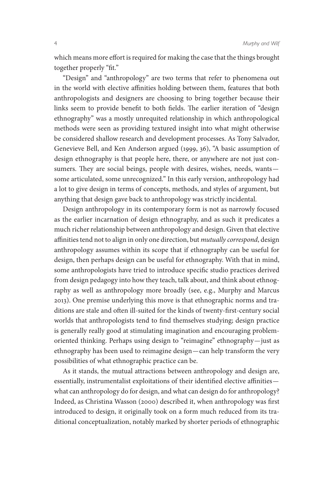which means more effort is required for making the case that the things brought together properly "fit."

"Design" and "anthropology" are two terms that refer to phenomena out in the world with elective affinities holding between them, features that both anthropologists and designers are choosing to bring together because their links seem to provide benefit to both fields. The earlier iteration of "design ethnography" was a mostly unrequited relationship in which anthropological methods were seen as providing textured insight into what might otherwise be considered shallow research and development processes. As Tony Salvador, Genevieve Bell, and Ken Anderson argued (1999, 36), "A basic assumption of design ethnography is that people here, there, or anywhere are not just consumers. They are social beings, people with desires, wishes, needs, wants some articulated, some unrecognized." In this early version, anthropology had a lot to give design in terms of concepts, methods, and styles of argument, but anything that design gave back to anthropology was strictly incidental.

Design anthropology in its contemporary form is not as narrowly focused as the earlier incarnation of design ethnography, and as such it predicates a much richer relationship between anthropology and design. Given that elective affinities tend not to align in only one direction, but *mutually correspond*, design anthropology assumes within its scope that if ethnography can be useful for design, then perhaps design can be useful for ethnography. With that in mind, some anthropologists have tried to introduce specific studio practices derived from design pedagogy into how they teach, talk about, and think about ethnography as well as anthropology more broadly (see, e.g., Murphy and Marcus 2013). One premise underlying this move is that ethnographic norms and traditions are stale and often ill-suited for the kinds of twenty-first-century social worlds that anthropologists tend to find themselves studying; design practice is generally really good at stimulating imagination and encouraging problemoriented thinking. Perhaps using design to "reimagine" ethnography—just as ethnography has been used to reimagine design—can help transform the very possibilities of what ethnographic practice can be.

As it stands, the mutual attractions between anthropology and design are, essentially, instrumentalist exploitations of their identified elective affinities what can anthropology do for design, and what can design do for anthropology? Indeed, as Christina Wasson (2000) described it, when anthropology was first introduced to design, it originally took on a form much reduced from its traditional conceptualization, notably marked by shorter periods of ethnographic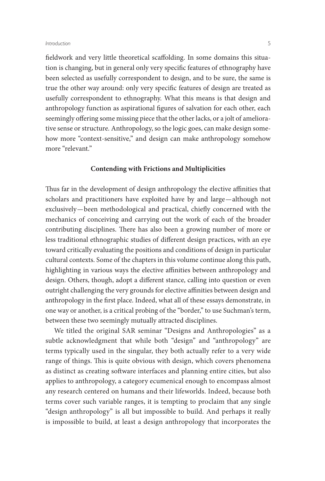#### *Introduction* 5

fieldwork and very little theoretical scaffolding. In some domains this situation is changing, but in general only very specific features of ethnography have been selected as usefully correspondent to design, and to be sure, the same is true the other way around: only very specific features of design are treated as usefully correspondent to ethnography. What this means is that design and anthropology function as aspirational figures of salvation for each other, each seemingly offering some missing piece that the other lacks, or a jolt of ameliorative sense or structure. Anthropology, so the logic goes, can make design somehow more "context-sensitive," and design can make anthropology somehow more "relevant."

## **Contending with Frictions and Multiplicities**

Thus far in the development of design anthropology the elective affinities that scholars and practitioners have exploited have by and large—although not exclusively—been methodological and practical, chiefly concerned with the mechanics of conceiving and carrying out the work of each of the broader contributing disciplines. There has also been a growing number of more or less traditional ethnographic studies of different design practices, with an eye toward critically evaluating the positions and conditions of design in particular cultural contexts. Some of the chapters in this volume continue along this path, highlighting in various ways the elective affinities between anthropology and design. Others, though, adopt a different stance, calling into question or even outright challenging the very grounds for elective affinities between design and anthropology in the first place. Indeed, what all of these essays demonstrate, in one way or another, is a critical probing of the "border," to use Suchman's term, between these two seemingly mutually attracted disciplines.

We titled the original SAR seminar "Designs and Anthropologies" as a subtle acknowledgment that while both "design" and "anthropology" are terms typically used in the singular, they both actually refer to a very wide range of things. This is quite obvious with design, which covers phenomena as distinct as creating software interfaces and planning entire cities, but also applies to anthropology, a category ecumenical enough to encompass almost any research centered on humans and their lifeworlds. Indeed, because both terms cover such variable ranges, it is tempting to proclaim that any single "design anthropology" is all but impossible to build. And perhaps it really is impossible to build, at least a design anthropology that incorporates the